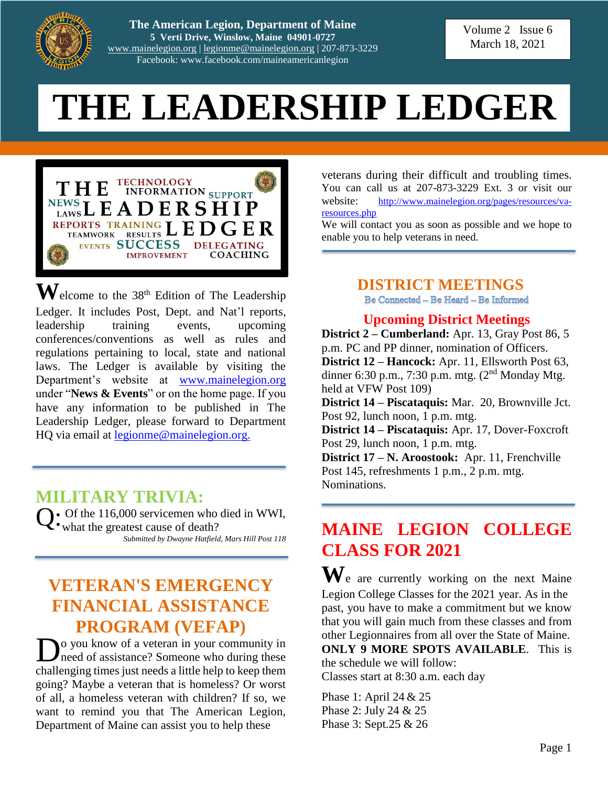

**The American Legion, Department of Maine 5 Verti Drive, Winslow, Maine 04901-0727** [www.mainelegion.org](http://www.mainelegion.org/) | [legionme@mainelegion.org](mailto:legionme@mainelegion.org) | 207-873-3229 Facebook: www.facebook.com/maineamericanlegion

Volume 2 Issue 6 March 18, 2021

# **THE LEADERSHIP LEDGER**



 $\mathbf{W}$ elcome to the 38<sup>th</sup> Edition of The Leadership Ledger. It includes Post, Dept. and Nat'l reports, leadership training events, upcoming conferences/conventions as well as rules and regulations pertaining to local, state and national laws. The Ledger is available by visiting the Department's website at [www.mainelegion.org](http://www.mainelegion.org/) under "**News & Events**" or on the home page. If you have any information to be published in The Leadership Ledger, please forward to Department HQ via email at [legionme@mainelegion.org.](mailto:legionme@mainelegion.org)

## **MILITARY TRIVIA:**

Of the 116,000 servicemen who died in WWI, Q: Of the 116,000 servicemen who<br>
vhat the greatest cause of death? *Submitted by Dwayne Hatfield, Mars Hill Post 118*

#### **VETERAN'S EMERGENCY FINANCIAL ASSISTANCE PROGRAM (VEFAP)**

o you know of a veteran in your community in need of assistance? Someone who during these challenging times just needs a little help to keep them going? Maybe a veteran that is homeless? Or worst of all, a homeless veteran with children? If so, we want to remind you that The American Legion, Department of Maine can assist you to help these D

veterans during their difficult and troubling times. You can call us at 207-873-3229 Ext. 3 or visit our website: http://www.mainelegion.org/pages/resources/varesources.php

We will contact you as soon as possible and we hope to enable you to help veterans in need.

#### **DISTRICT MEETINGS** Be Connected - Be Heard - Be Informed

#### **Upcoming District Meetings**

**District 2 – Cumberland:** Apr. 13, Gray Post 86, 5 p.m. PC and PP dinner, nomination of Officers.

**District 12 – Hancock:** Apr. 11, Ellsworth Post 63, dinner 6:30 p.m., 7:30 p.m. mtg. (2nd Monday Mtg. held at VFW Post 109)

**District 14 – Piscataquis:** Mar. 20, Brownville Jct. Post 92, lunch noon, 1 p.m. mtg.

**District 14 – Piscataquis:** Apr. 17, Dover-Foxcroft Post 29, lunch noon, 1 p.m. mtg.

**District 17 – N. Aroostook:** Apr. 11, Frenchville Post 145, refreshments 1 p.m., 2 p.m. mtg. Nominations.

## **MAINE LEGION COLLEGE CLASS FOR 2021**

**W**e are currently working on the next Maine Legion College Classes for the 2021 year. As in the past, you have to make a commitment but we know that you will gain much from these classes and from other Legionnaires from all over the State of Maine. **ONLY 9 MORE SPOTS AVAILABLE**. This is the schedule we will follow:

Classes start at 8:30 a.m. each day

Phase 1: April 24 & 25 Phase 2: July 24 & 25 Phase 3: Sept.25 & 26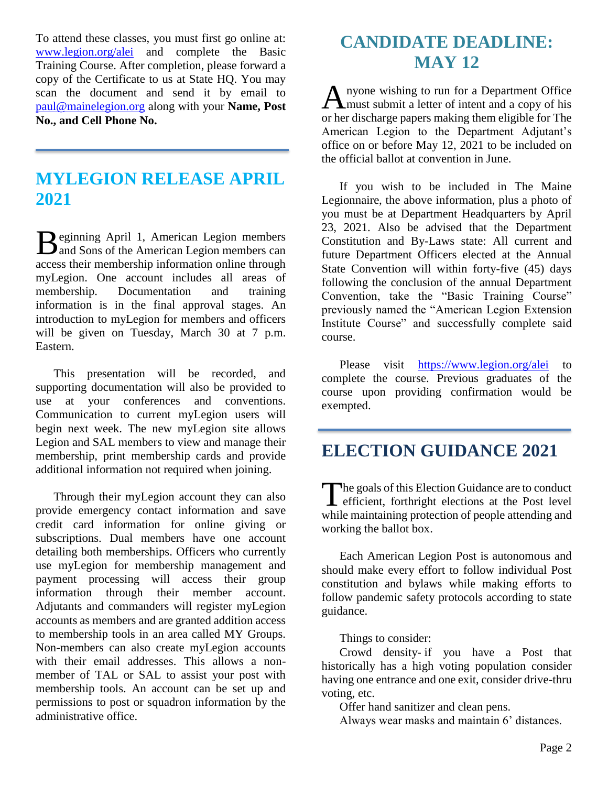To attend these classes, you must first go online at: [www.legion.org/alei](http://www.legion.org/alei) and complete the Basic Training Course. After completion, please forward a copy of the Certificate to us at State HQ. You may scan the document and send it by email to [paul@mainelegion.org](mailto:paul@mainelegion.org) along with your **Name, Post No., and Cell Phone No.** 

#### **MYLEGION RELEASE APRIL 2021**

eginning April 1, American Legion members Beginning April 1, American Legion members<br>and Sons of the American Legion members can access their membership information online through myLegion. One account includes all areas of membership. Documentation and training information is in the final approval stages. An introduction to myLegion for members and officers will be given on Tuesday, March 30 at 7 p.m. Eastern.

This presentation will be recorded, and supporting documentation will also be provided to use at your conferences and conventions. Communication to current myLegion users will begin next week. The new myLegion site allows Legion and SAL members to view and manage their membership, print membership cards and provide additional information not required when joining.

Through their myLegion account they can also provide emergency contact information and save credit card information for online giving or subscriptions. Dual members have one account detailing both memberships. Officers who currently use myLegion for membership management and payment processing will access their group information through their member account. Adjutants and commanders will register myLegion accounts as members and are granted addition access to membership tools in an area called MY Groups. Non-members can also create myLegion accounts with their email addresses. This allows a nonmember of TAL or SAL to assist your post with membership tools. An account can be set up and permissions to post or squadron information by the administrative office.

### **CANDIDATE DEADLINE: MAY 12**

A nyone wishing to run for a Department Office A nyone wishing to run for a Department Office<br>
must submit a letter of intent and a copy of his or her discharge papers making them eligible for The American Legion to the Department Adjutant's office on or before May 12, 2021 to be included on the official ballot at convention in June.

If you wish to be included in The Maine Legionnaire, the above information, plus a photo of you must be at Department Headquarters by April 23, 2021. Also be advised that the Department Constitution and By-Laws state: All current and future Department Officers elected at the Annual State Convention will within forty-five (45) days following the conclusion of the annual Department Convention, take the "Basic Training Course" previously named the "American Legion Extension Institute Course" and successfully complete said course.

Please visit <https://www.legion.org/alei> to complete the course. Previous graduates of the course upon providing confirmation would be exempted.

#### **ELECTION GUIDANCE 2021**

he goals of this Election Guidance are to conduct The goals of this Election Guidance are to conduct<br>efficient, forthright elections at the Post level while maintaining protection of people attending and working the ballot box.

Each American Legion Post is autonomous and should make every effort to follow individual Post constitution and bylaws while making efforts to follow pandemic safety protocols according to state guidance.

Things to consider:

Crowd density- if you have a Post that historically has a high voting population consider having one entrance and one exit, consider drive-thru voting, etc.

Offer hand sanitizer and clean pens.

Always wear masks and maintain 6' distances.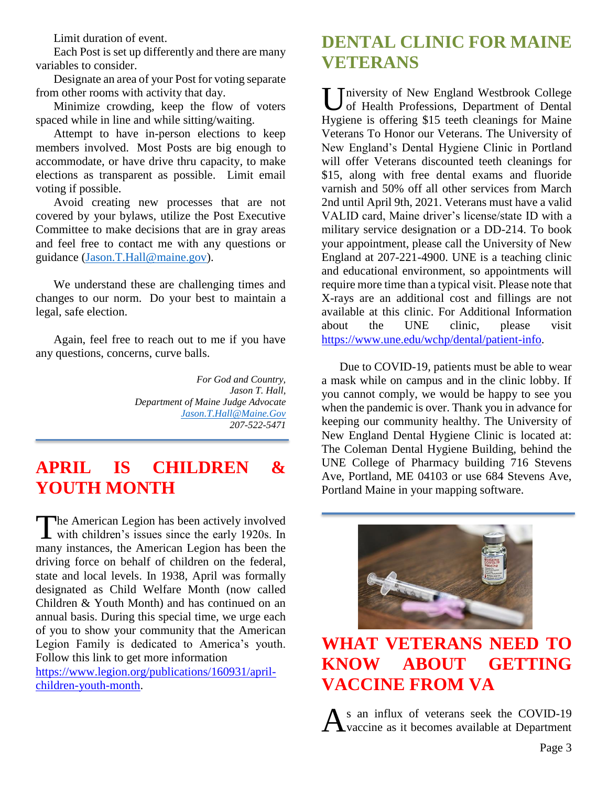Limit duration of event.

Each Post is set up differently and there are many variables to consider.

Designate an area of your Post for voting separate from other rooms with activity that day.

Minimize crowding, keep the flow of voters spaced while in line and while sitting/waiting.

Attempt to have in-person elections to keep members involved. Most Posts are big enough to accommodate, or have drive thru capacity, to make elections as transparent as possible. Limit email voting if possible.

Avoid creating new processes that are not covered by your bylaws, utilize the Post Executive Committee to make decisions that are in gray areas and feel free to contact me with any questions or guidance [\(Jason.T.Hall@maine.gov\)](mailto:Jason.T.Hall@maine.gov).

We understand these are challenging times and changes to our norm. Do your best to maintain a legal, safe election.

Again, feel free to reach out to me if you have any questions, concerns, curve balls.

> *For God and Country, Jason T. Hall, Department of Maine Judge Advocate [Jason.T.Hall@Maine.Gov](mailto:Jason.T.Hall@Maine.Gov) 207-522-5471*

## **APRIL IS CHILDREN & YOUTH MONTH**

The American Legion has been actively involved<br>with children's issues since the early 1920s. In with children's issues since the early 1920s. In many instances, the American Legion has been the driving force on behalf of children on the federal, state and local levels. In 1938, April was formally designated as Child Welfare Month (now called Children & Youth Month) and has continued on an annual basis. During this special time, we urge each of you to show your community that the American Legion Family is dedicated to America's youth. Follow this link to get more information [https://www.legion.org/publications/160931/april](https://www.legion.org/publications/160931/april-children-youth-month)[children-youth-month.](https://www.legion.org/publications/160931/april-children-youth-month)

### **DENTAL CLINIC FOR MAINE VETERANS**

niversity of New England Westbrook College University of New England Westbrook College<br>
of Health Professions, Department of Dental Hygiene is offering \$15 teeth cleanings for Maine Veterans To Honor our Veterans. The University of New England's Dental Hygiene Clinic in Portland will offer Veterans discounted teeth cleanings for \$15, along with free dental exams and fluoride varnish and 50% off all other services from March 2nd until April 9th, 2021. Veterans must have a valid VALID card, Maine driver's license/state ID with a military service designation or a DD-214. To book your appointment, please call the University of New England at 207-221-4900. UNE is a teaching clinic and educational environment, so appointments will require more time than a typical visit. Please note that X-rays are an additional cost and fillings are not available at this clinic. For Additional Information about the UNE clinic, please visit [https://www.une.edu/wchp/dental/patient-info.](https://www.une.edu/wchp/dental/patient-info)

Due to COVID-19, patients must be able to wear a mask while on campus and in the clinic lobby. If you cannot comply, we would be happy to see you when the pandemic is over. Thank you in advance for keeping our community healthy. The University of New England Dental Hygiene Clinic is located at: The Coleman Dental Hygiene Building, behind the UNE College of Pharmacy building 716 Stevens Ave, Portland, ME 04103 or use 684 Stevens Ave, Portland Maine in your mapping software.



# **WHAT VETERANS NEED TO KNOW ABOUT GETTING VACCINE FROM VA**

s an influx of veterans seek the COVID-19 As an influx of veterans seek the COVID-19 vaccine as it becomes available at Department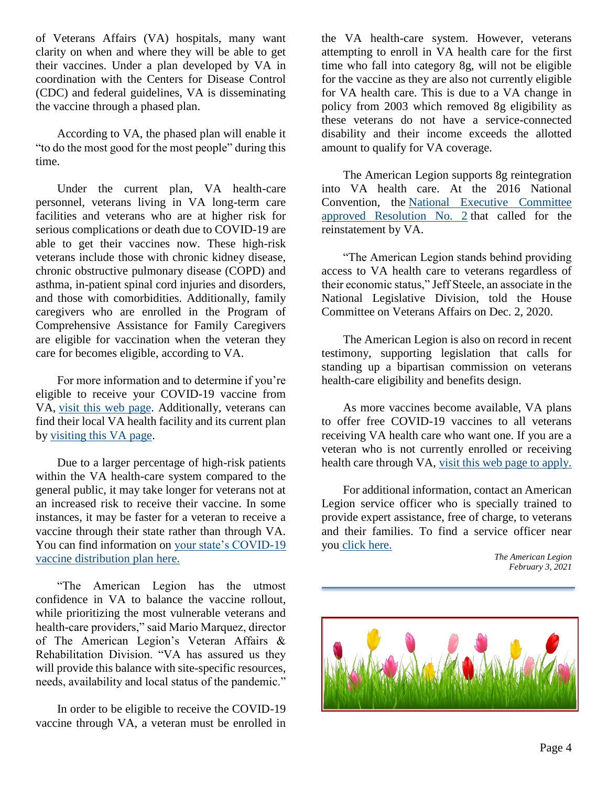of Veterans Affairs (VA) hospitals, many want clarity on when and where they will be able to get their vaccines. Under a plan developed by VA in coordination with the Centers for Disease Control (CDC) and federal guidelines, VA is disseminating the vaccine through a phased plan.

According to VA, the phased plan will enable it "to do the most good for the most people" during this time.

Under the current plan, VA health-care personnel, veterans living in VA long-term care facilities and veterans who are at higher risk for serious complications or death due to COVID-19 are able to get their vaccines now. These high-risk veterans include those with chronic kidney disease, chronic obstructive pulmonary disease (COPD) and asthma, in-patient spinal cord injuries and disorders, and those with comorbidities. Additionally, family caregivers who are enrolled in the Program of Comprehensive Assistance for Family Caregivers are eligible for vaccination when the veteran they care for becomes eligible, according to VA.

For more information and to determine if you're eligible to receive your COVID-19 vaccine from VA, [visit this web page.](https://www.va.gov/health-care/covid-19-vaccine/) Additionally, veterans can find their local VA health facility and its current plan by [visiting this VA page.](https://www.va.gov/find-locations)

Due to a larger percentage of high-risk patients within the VA health-care system compared to the general public, it may take longer for veterans not at an increased risk to receive their vaccine. In some instances, it may be faster for a veteran to receive a vaccine through their state rather than through VA. You can find information on [your state's COVID-19](https://www.cdc.gov/vaccines/covid-19)  [vaccine distribution plan here.](https://www.cdc.gov/vaccines/covid-19)

"The American Legion has the utmost confidence in VA to balance the vaccine rollout, while prioritizing the most vulnerable veterans and health-care providers," said Mario Marquez, director of The American Legion's Veteran Affairs & Rehabilitation Division. "VA has assured us they will provide this balance with site-specific resources. needs, availability and local status of the pandemic."

In order to be eligible to receive the COVID-19 vaccine through VA, a veteran must be enrolled in the VA health-care system. However, veterans attempting to enroll in VA health care for the first time who fall into category 8g, will not be eligible for the vaccine as they are also not currently eligible for VA health care. This is due to a VA change in policy from 2003 which removed 8g eligibility as these veterans do not have a service-connected disability and their income exceeds the allotted amount to qualify for VA coverage.

The American Legion supports 8g reintegration into VA health care. At the 2016 National Convention, the [National Executive Committee](https://archive.legion.org/handle/20.500.12203/5566)  [approved Resolution No. 2](https://archive.legion.org/handle/20.500.12203/5566) that called for the reinstatement by VA.

"The American Legion stands behind providing access to VA health care to veterans regardless of their economic status," Jeff Steele, an associate in the National Legislative Division, told the House Committee on Veterans Affairs on Dec. 2, 2020.

The American Legion is also on record in recent testimony, supporting legislation that calls for standing up a bipartisan commission on veterans health-care eligibility and benefits design.

As more vaccines become available, VA plans to offer free COVID-19 vaccines to all veterans receiving VA health care who want one. If you are a veteran who is not currently enrolled or receiving health care through VA, [visit this web page to apply.](https://www.va.gov/health-care/how-to-apply/)

For additional information, contact an American Legion service officer who is specially trained to provide expert assistance, free of charge, to veterans and their families. To find a service officer near you [click here.](https://www.legion.org/serviceofficers)

> *The American Legion February 3, 2021*

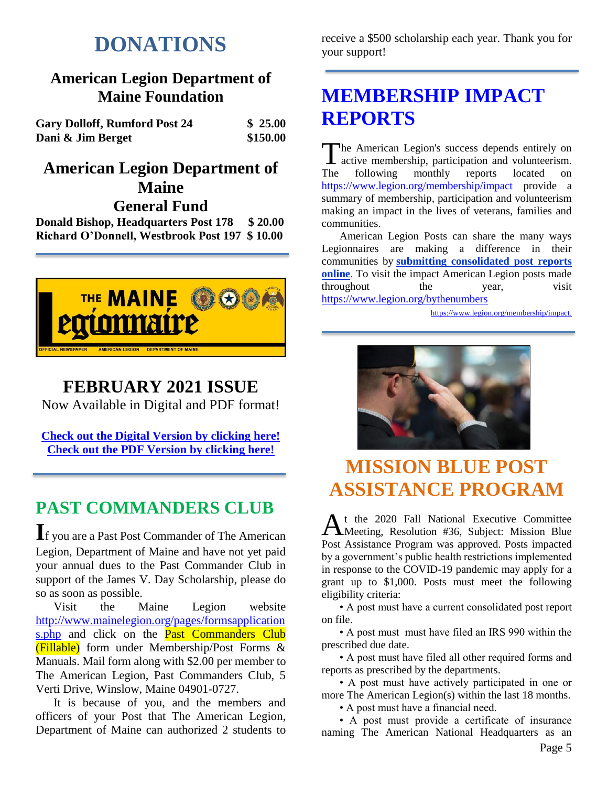# **DONATIONS**

#### **American Legion Department of Maine Foundation**

| <b>Gary Dolloff, Rumford Post 24</b> | \$25.00  |
|--------------------------------------|----------|
| Dani & Jim Berget                    | \$150.00 |

#### **American Legion Department of Maine General Fund**

**Donald Bishop, Headquarters Post 178 \$ 20.00 Richard O'Donnell, Westbrook Post 197 \$ 10.00**



## **FEBRUARY 2021 ISSUE**

Now Available in Digital and PDF format!

**[Check out the Digital Version by clicking here!](https://indd.adobe.com/view/0629bde6-b050-4157-9c07-bba31de21384) [Check out the PDF Version by clicking here!](http://www.mainelegion.org/media/TML/TML_2021_February_Issue_-_Copy.pdf)**

# **PAST COMMANDERS CLUB**

**I**f you are a Past Post Commander of The American Legion, Department of Maine and have not yet paid your annual dues to the Past Commander Club in support of the James V. Day Scholarship, please do so as soon as possible.

Visit the Maine Legion website [http://www.mainelegion.org/pages/formsapplication](http://www.mainelegion.org/pages/formsapplications.php) [s.php](http://www.mainelegion.org/pages/formsapplications.php) and click on the **Past Commanders Club** (Fillable) form under Membership/Post Forms & Manuals. Mail form along with \$2.00 per member to The American Legion, Past Commanders Club, 5 Verti Drive, Winslow, Maine 04901-0727.

It is because of you, and the members and officers of your Post that The American Legion, Department of Maine can authorized 2 students to receive a \$500 scholarship each year. Thank you for your support!

# **[MEMBERSHIP IMPACT](https://www.legion.org/membership/impact)  [REPORTS](https://www.legion.org/membership/impact)**

he American Legion's success depends entirely on The American Legion's success depends entirely on active membership, participation and volunteerism. The following monthly reports located on <https://www.legion.org/membership/impact> provide a summary of membership, participation and volunteerism making an impact in the lives of veterans, families and communities.

American Legion Posts can share the many ways Legionnaires are making a difference in their communities by **[submitting consolidated post reports](http://www.mylegion.org/)  [online](http://www.mylegion.org/)**. To visit the impact American Legion posts made throughout the year, visit <https://www.legion.org/bythenumbers>

[https://www.legion.org/membership/impact.](https://www.legion.org/membership/impact)



# **MISSION BLUE POST ASSISTANCE PROGRAM**

t the 2020 Fall National Executive Committee At the 2020 Fall National Executive Committee<br>Meeting, Resolution #36, Subject: Mission Blue Post Assistance Program was approved. Posts impacted by a government's public health restrictions implemented in response to the COVID-19 pandemic may apply for a grant up to \$1,000. Posts must meet the following eligibility criteria:

• A post must have a current consolidated post report on file.

• A post must must have filed an IRS 990 within the prescribed due date.

• A post must have filed all other required forms and reports as prescribed by the departments.

• A post must have actively participated in one or more The American Legion(s) within the last 18 months.

• A post must have a financial need.

• A post must provide a certificate of insurance naming The American National Headquarters as an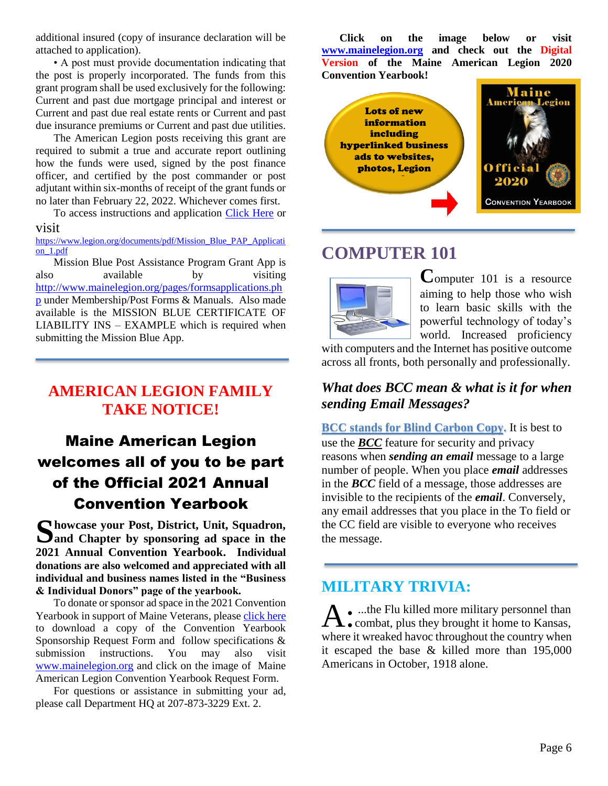additional insured (copy of insurance declaration will be attached to application).

• A post must provide documentation indicating that the post is properly incorporated. The funds from this grant program shall be used exclusively for the following: Current and past due mortgage principal and interest or Current and past due real estate rents or Current and past due insurance premiums or Current and past due utilities.

The American Legion posts receiving this grant are required to submit a true and accurate report outlining how the funds were used, signed by the post finance officer, and certified by the post commander or post adjutant within six-months of receipt of the grant funds or no later than February 22, 2022. Whichever comes first.

To access instructions and application [Click Here](https://www.legion.org/documents/pdf/Mission_Blue_PAP_Application_1.pdf) or visit

[https://www.legion.org/documents/pdf/Mission\\_Blue\\_PAP\\_Applicati](https://www.legion.org/documents/pdf/Mission_Blue_PAP_Application_1.pdf) [on\\_1.pdf](https://www.legion.org/documents/pdf/Mission_Blue_PAP_Application_1.pdf)

Mission Blue Post Assistance Program Grant App is also available by visiting [http://www.mainelegion.org/pages/formsapplications.ph](http://www.mainelegion.org/pages/formsapplications.php) [p](http://www.mainelegion.org/pages/formsapplications.php) under Membership/Post Forms & Manuals. Also made available is the MISSION BLUE CERTIFICATE OF LIABILITY INS – EXAMPLE which is required when submitting the Mission Blue App.

#### **AMERICAN LEGION FAMILY TAKE NOTICE!**

# Maine American Legion welcomes all of you to be part of the Official 2021 Annual Convention Yearbook

Showcase your Post, District, Unit, Squadron, Sand Chapter by sponsoring ad space in the **and Chapter by sponsoring ad space in the 2021 Annual Convention Yearbook. Individual donations are also welcomed and appreciated with all individual and business names listed in the "Business & Individual Donors" page of the yearbook.** 

To donate or sponsor ad space in the 2021 Convention Yearbook in support of Maine Veterans, please [click here](http://www.mainelegion.org/media/YEARBOOK/Maine_AL_Convention_Yearbook_Sponsorship_Req._Form11_FILLABLE.pdf) to download a copy of the Convention Yearbook Sponsorship Request Form and follow specifications & submission instructions. You may also visit [www.mainelegion.org](http://www.mainelegion.org/) and click on the image of Maine American Legion Convention Yearbook Request Form.

For questions or assistance in submitting your ad, please call Department HQ at 207-873-3229 Ext. 2.

**Click on the image below or visit [www.mainelegion.org](http://www.mainelegion.org/) and check out the Digital Version of the Maine American Legion 2020 Convention Yearbook!**



#### **COMPUTER 101**



**C**omputer 101 is a resource aiming to help those who wish to learn basic skills with the powerful technology of today's world. Increased proficiency

with computers and the Internet has positive outcome across all fronts, both personally and professionally.

#### *What does BCC mean & what is it for when sending Email Messages?*

**BCC stands for Blind Carbon Copy.** It is best to use the *BCC* feature for security and privacy reasons when *sending an email* message to a large number of people. When you place *email* addresses in the *BCC* field of a message, those addresses are invisible to the recipients of the *email*. Conversely, any email addresses that you place in the To field or the CC field are visible to everyone who receives the message.

#### **MILITARY TRIVIA:**

...the Flu killed more military personnel than A: ...the Flu killed more military personnel than<br>
combat, plus they brought it home to Kansas, where it wreaked havoc throughout the country when it escaped the base & killed more than 195,000 Americans in October, 1918 alone.